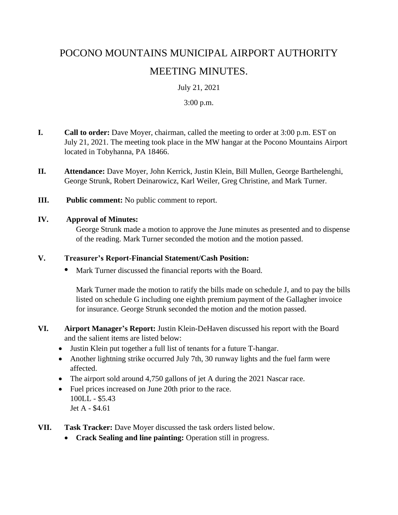# POCONO MOUNTAINS MUNICIPAL AIRPORT AUTHORITY MEETING MINUTES.

July 21, 2021

3:00 p.m.

- **I. Call to order:** Dave Moyer, chairman, called the meeting to order at 3:00 p.m. EST on July 21, 2021. The meeting took place in the MW hangar at the Pocono Mountains Airport located in Tobyhanna, PA 18466.
- **II. Attendance:** Dave Moyer, John Kerrick, Justin Klein, Bill Mullen, George Barthelenghi, George Strunk, Robert Deinarowicz, Karl Weiler, Greg Christine, and Mark Turner.
- **III. Public comment:** No public comment to report.

## **IV. Approval of Minutes:**

George Strunk made a motion to approve the June minutes as presented and to dispense of the reading. Mark Turner seconded the motion and the motion passed.

#### **V. Treasurer's Report-Financial Statement/Cash Position:**

**•** Mark Turner discussed the financial reports with the Board.

Mark Turner made the motion to ratify the bills made on schedule J, and to pay the bills listed on schedule G including one eighth premium payment of the Gallagher invoice for insurance. George Strunk seconded the motion and the motion passed.

- **VI. Airport Manager's Report:** Justin Klein-DeHaven discussed his report with the Board and the salient items are listed below:
	- Justin Klein put together a full list of tenants for a future T-hangar.
	- Another lightning strike occurred July 7th, 30 runway lights and the fuel farm were affected.
	- The airport sold around 4,750 gallons of jet A during the 2021 Nascar race.
	- Fuel prices increased on June 20th prior to the race. 100LL - \$5.43 Jet A - \$4.61
- **VII. Task Tracker:** Dave Moyer discussed the task orders listed below.
	- **Crack Sealing and line painting:** Operation still in progress.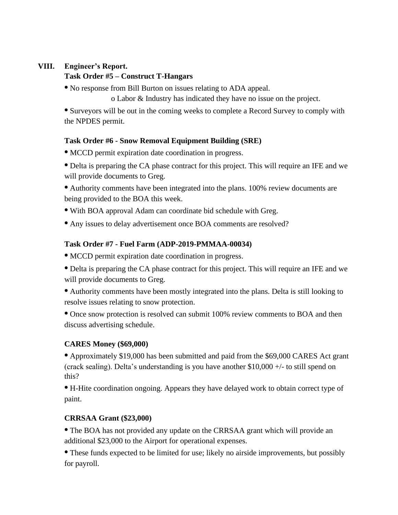## **VIII. Engineer's Report.**

## **Task Order #5 – Construct T-Hangars**

**•** No response from Bill Burton on issues relating to ADA appeal.

o Labor & Industry has indicated they have no issue on the project.

**•** Surveyors will be out in the coming weeks to complete a Record Survey to comply with the NPDES permit.

## **Task Order #6 - Snow Removal Equipment Building (SRE)**

**•** MCCD permit expiration date coordination in progress.

• Delta is preparing the CA phase contract for this project. This will require an IFE and we will provide documents to Greg.

**•** Authority comments have been integrated into the plans. 100% review documents are being provided to the BOA this week.

- **•** With BOA approval Adam can coordinate bid schedule with Greg.
- **•** Any issues to delay advertisement once BOA comments are resolved?

## **Task Order #7 - Fuel Farm (ADP-2019-PMMAA-00034)**

- **•** MCCD permit expiration date coordination in progress.
- Delta is preparing the CA phase contract for this project. This will require an IFE and we will provide documents to Greg.
- **•** Authority comments have been mostly integrated into the plans. Delta is still looking to resolve issues relating to snow protection.

**•** Once snow protection is resolved can submit 100% review comments to BOA and then discuss advertising schedule.

## **CARES Money (\$69,000)**

**•** Approximately \$19,000 has been submitted and paid from the \$69,000 CARES Act grant (crack sealing). Delta's understanding is you have another  $$10,000 +/-$  to still spend on this?

**•** H-Hite coordination ongoing. Appears they have delayed work to obtain correct type of paint.

## **CRRSAA Grant (\$23,000)**

**•** The BOA has not provided any update on the CRRSAA grant which will provide an additional \$23,000 to the Airport for operational expenses.

**•** These funds expected to be limited for use; likely no airside improvements, but possibly for payroll.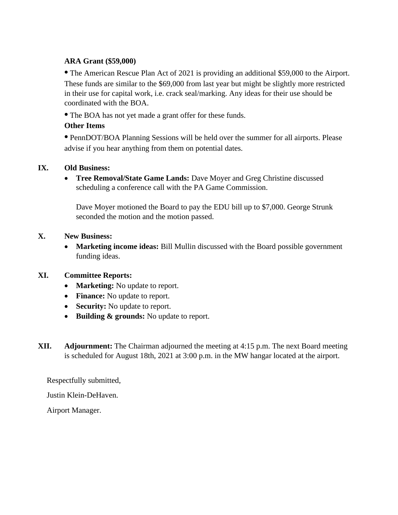#### **ARA Grant (\$59,000)**

**•** The American Rescue Plan Act of 2021 is providing an additional \$59,000 to the Airport. These funds are similar to the \$69,000 from last year but might be slightly more restricted in their use for capital work, i.e. crack seal/marking. Any ideas for their use should be coordinated with the BOA.

**•** The BOA has not yet made a grant offer for these funds.

## **Other Items**

**•** PennDOT/BOA Planning Sessions will be held over the summer for all airports. Please advise if you hear anything from them on potential dates.

## **IX. Old Business:**

• **Tree Removal/State Game Lands:** Dave Moyer and Greg Christine discussed scheduling a conference call with the PA Game Commission.

Dave Moyer motioned the Board to pay the EDU bill up to \$7,000. George Strunk seconded the motion and the motion passed.

#### **X. New Business:**

• **Marketing income ideas:** Bill Mullin discussed with the Board possible government funding ideas.

#### **XI. Committee Reports:**

- **Marketing:** No update to report.
- **Finance:** No update to report.
- **Security:** No update to report.
- **Building & grounds:** No update to report.
- **XII. Adjournment:** The Chairman adjourned the meeting at 4:15 p.m. The next Board meeting is scheduled for August 18th, 2021 at 3:00 p.m. in the MW hangar located at the airport.

Respectfully submitted,

Justin Klein-DeHaven.

Airport Manager.